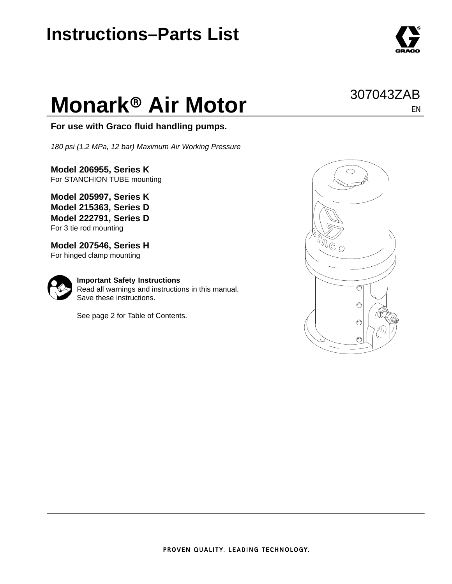## **Instructions–Parts List**

# **Monark<sup>®</sup> Air Motor**

**For use with Graco fluid handling pumps.**

*180 psi (1.2 MPa, 12 bar) Maximum Air Working Pressure*

**Model 206955, Series K** For STANCHION TUBE mounting

**Model 205997, Series K Model 215363, Series D Model 222791, Series D** For 3 tie rod mounting

**Model 207546, Series H** For hinged clamp mounting



**Important Safety Instructions** Read all warnings and instructions in this manual. Save these instructions.

See page 2 for Table of Contents.



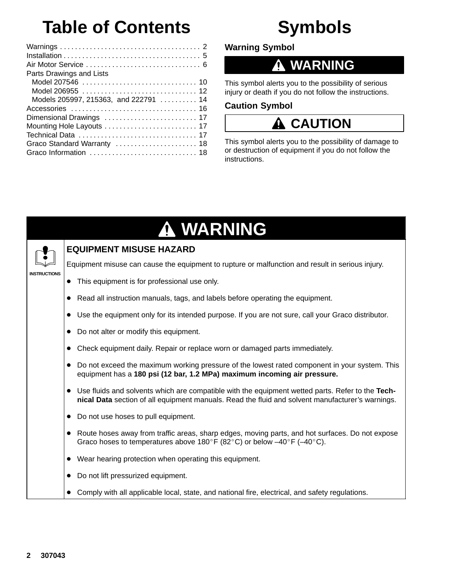## **Table of Contents**

| Parts Drawings and Lists              |  |
|---------------------------------------|--|
|                                       |  |
|                                       |  |
| Models 205997, 215363, and 222791  14 |  |
|                                       |  |
|                                       |  |
|                                       |  |
|                                       |  |
| Graco Standard Warranty  18           |  |
|                                       |  |
|                                       |  |

## **Symbols**

**Warning Symbol**

### **WARNING**

This symbol alerts you to the possibility of serious injury or death if you do not follow the instructions.

### **Caution Symbol**

### **A CAUTION**

This symbol alerts you to the possibility of damage to or destruction of equipment if you do not follow the instructions.

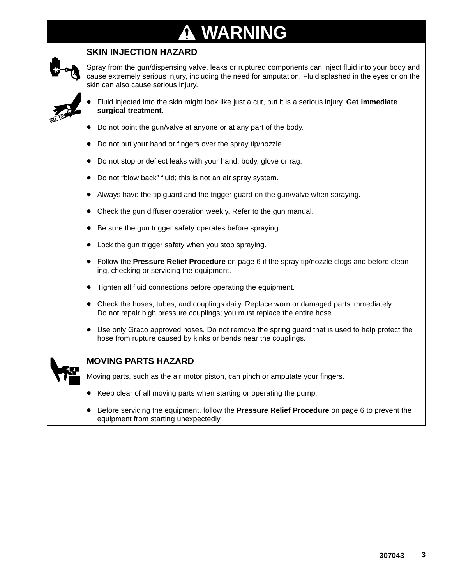### **WARNING N**

### **SKIN INJECTION HAZARD**

Spray from the gun/dispensing valve, leaks or ruptured components can inject fluid into your body and cause extremely serious injury, including the need for amputation. Fluid splashed in the eyes or on the skin can also cause serious injury.



- $\bullet$  Fluid injected into the skin might look like just a cut, but it is a serious injury. **Get immediate surgical treatment.**
- Do not point the gun/valve at anyone or at any part of the body.
- $\bullet$ Do not put your hand or fingers over the spray tip/nozzle.
- $\bullet$ Do not stop or deflect leaks with your hand, body, glove or rag.
- $\bullet$ Do not "blow back" fluid; this is not an air spray system.
- $\bullet$ Always have the tip guard and the trigger guard on the gun/valve when spraying.
- $\bullet$ Check the gun diffuser operation weekly. Refer to the gun manual.
- $\bullet$ Be sure the gun trigger safety operates before spraying.
- $\bullet$ Lock the gun trigger safety when you stop spraying.
- $\bullet$  Follow the **Pressure Relief Procedure** on page 6 if the spray tip/nozzle clogs and before cleaning, checking or servicing the equipment.
- $\bullet$ Tighten all fluid connections before operating the equipment.
- $\bullet$  Check the hoses, tubes, and couplings daily. Replace worn or damaged parts immediately. Do not repair high pressure couplings; you must replace the entire hose.
- $\bullet$  Use only Graco approved hoses. Do not remove the spring guard that is used to help protect the hose from rupture caused by kinks or bends near the couplings.

| Y<br>$\sqrt{2}$<br>ي ا |
|------------------------|
|------------------------|

#### **MOVING PARTS HAZARD**

Moving parts, such as the air motor piston, can pinch or amputate your fingers.

- Keep clear of all moving parts when starting or operating the pump.
- $\bullet$  Before servicing the equipment, follow the **Pressure Relief Procedure** on page 6 to prevent the equipment from starting unexpectedly.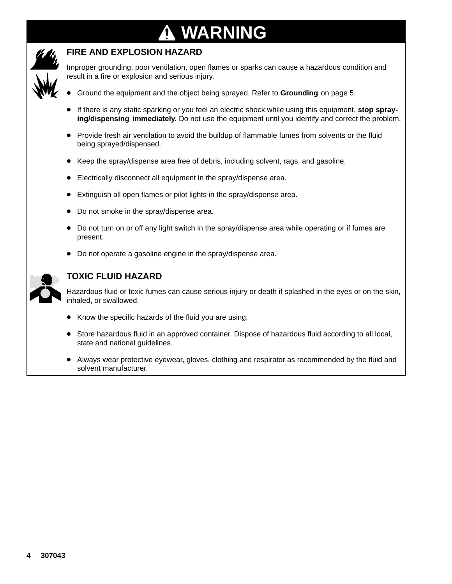### **WARNING** T



### **FIRE AND EXPLOSION HAZARD**

Improper grounding, poor ventilation, open flames or sparks can cause a hazardous condition and result in a fire or explosion and serious injury.

- **•** Ground the equipment and the object being sprayed. Refer to Grounding on page 5.
- If there is any static sparking or you feel an electric shock while using this equipment, **stop spraying/dispensing immediately.** Do not use the equipment until you identify and correct the problem.
- Provide fresh air ventilation to avoid the buildup of flammable fumes from solvents or the fluid being sprayed/dispensed.
- Keep the spray/dispense area free of debris, including solvent, rags, and gasoline.
- Electrically disconnect all equipment in the spray/dispense area.
- Extinguish all open flames or pilot lights in the spray/dispense area.
- Do not smoke in the spray/dispense area.
- Do not turn on or off any light switch in the spray/dispense area while operating or if fumes are present.
- Do not operate a gasoline engine in the spray/dispense area.



#### **TOXIC FLUID HAZARD**

Hazardous fluid or toxic fumes can cause serious injury or death if splashed in the eyes or on the skin, inhaled, or swallowed.

- Know the specific hazards of the fluid you are using.
- Store hazardous fluid in an approved container. Dispose of hazardous fluid according to all local, state and national guidelines.
- Always wear protective eyewear, gloves, clothing and respirator as recommended by the fluid and solvent manufacturer.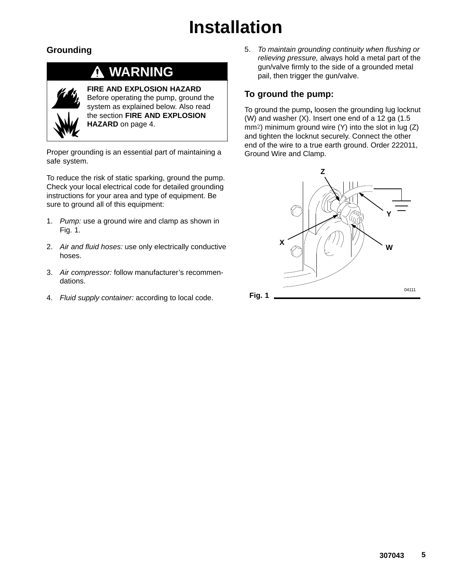## **Installation**

### **Grounding**

### **WARNING**



**FIRE AND EXPLOSION HAZARD** Before operating the pump, ground the system as explained below. Also read the section **FIRE AND EXPLOSION HAZARD** on page 4.

Proper grounding is an essential part of maintaining a safe system.

To reduce the risk of static sparking, ground the pump. Check your local electrical code for detailed grounding instructions for your area and type of equipment. Be sure to ground all of this equipment:

- 1. *Pump:* use a ground wire and clamp as shown in Fig. 1.
- 2. *Air and fluid hoses:* use only electrically conductive hoses.
- 3. *Air compressor:* follow manufacturer's recommendations.
- 4. *Fluid supply container:* according to local code.

5. *To maintain grounding continuity when flushing or relieving pressure,* always hold a metal part of the gun/valve firmly to the side of a grounded metal pail, then trigger the gun/valve.

### **To ground the pump:**

To ground the pump**,** loosen the grounding lug locknut (W) and washer  $(X)$ . Insert one end of a 12 ga  $(1.5)$  $mm<sup>2</sup>$ ) minimum ground wire (Y) into the slot in lug (Z) and tighten the locknut securely. Connect the other end of the wire to a true earth ground. Order 222011, Ground Wire and Clamp.

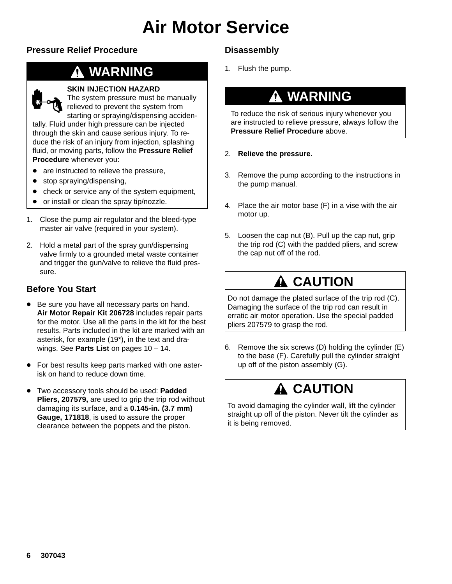### **Pressure Relief Procedure**

### **WARNING**



#### **SKIN INJECTION HAZARD**

The system pressure must be manually relieved to prevent the system from

starting or spraying/dispensing accidentally. Fluid under high pressure can be injected through the skin and cause serious injury. To reduce the risk of an injury from injection, splashing fluid, or moving parts, follow the **Pressure Relief Procedure** whenever you:

- $\bullet$ are instructed to relieve the pressure,
- $\bullet$ stop spraying/dispensing,
- $\bullet$ check or service any of the system equipment,
- $\bullet$ or install or clean the spray tip/nozzle.
- 1. Close the pump air regulator and the bleed-type master air valve (required in your system).
- 2. Hold a metal part of the spray gun/dispensing valve firmly to a grounded metal waste container and trigger the gun/valve to relieve the fluid pressure.

### **Before You Start**

- $\bullet$  Be sure you have all necessary parts on hand. **Air Motor Repair Kit 206728** includes repair parts for the motor. Use all the parts in the kit for the best results. Parts included in the kit are marked with an asterisk, for example (19\*), in the text and drawings. See **Parts List** on pages 10 – 14.
- $\bullet$  For best results keep parts marked with one asterisk on hand to reduce down time.
- $\bullet$  Two accessory tools should be used: **Padded Pliers, 207579,** are used to grip the trip rod without damaging its surface, and a **0.145-in. (3.7 mm) Gauge, 171818**, is used to assure the proper clearance between the poppets and the piston.

### **Disassembly**

1. Flush the pump.

### **WARNING**

To reduce the risk of serious injury whenever you are instructed to relieve pressure, always follow the **Pressure Relief Procedure** above.

- 2. **Relieve the pressure.**
- 3. Remove the pump according to the instructions in the pump manual.
- 4. Place the air motor base (F) in a vise with the air motor up.
- 5. Loosen the cap nut (B). Pull up the cap nut, grip the trip rod (C) with the padded pliers, and screw the cap nut off of the rod.

### **A CAUTION**

Do not damage the plated surface of the trip rod (C). Damaging the surface of the trip rod can result in erratic air motor operation. Use the special padded pliers 207579 to grasp the rod.

6. Remove the six screws (D) holding the cylinder (E) to the base (F). Carefully pull the cylinder straight up off of the piston assembly (G).

### **CAUTION**

To avoid damaging the cylinder wall, lift the cylinder straight up off of the piston. Never tilt the cylinder as it is being removed.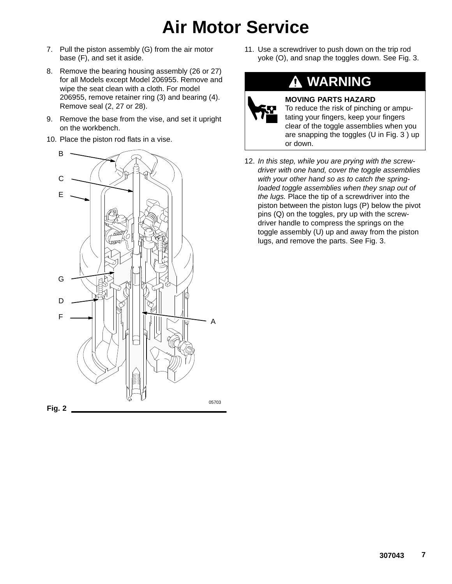- 7. Pull the piston assembly (G) from the air motor base (F), and set it aside.
- 8. Remove the bearing housing assembly (26 or 27) for all Models except Model 206955. Remove and wipe the seat clean with a cloth. For model 206955, remove retainer ring (3) and bearing (4). Remove seal (2, 27 or 28).
- 9. Remove the base from the vise, and set it upright on the workbench.
- 10. Place the piston rod flats in a vise.



11. Use a screwdriver to push down on the trip rod yoke (O), and snap the toggles down. See Fig. 3.

### **WARNING**



#### **MOVING PARTS HAZARD**

To reduce the risk of pinching or amputating your fingers, keep your fingers clear of the toggle assemblies when you are snapping the toggles (U in Fig. 3 ) up or down.

12. *In this step, while you are prying with the screwdriver with one hand, cover the toggle assemblies with your other hand so as to catch the springloaded toggle assemblies when they snap out of the lugs.* Place the tip of a screwdriver into the piston between the piston lugs (P) below the pivot pins (Q) on the toggles, pry up with the screwdriver handle to compress the springs on the toggle assembly (U) up and away from the piston lugs, and remove the parts. See Fig. 3.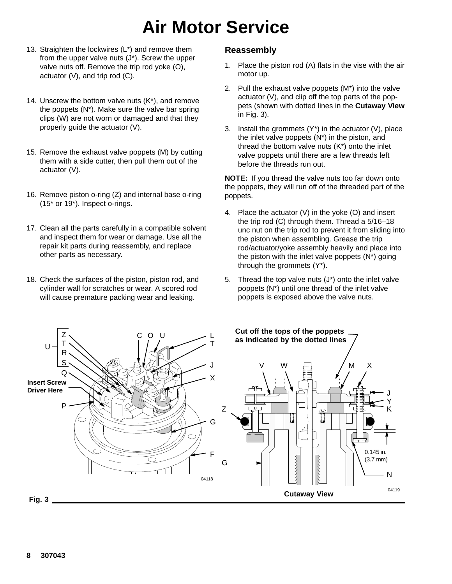- 13. Straighten the lockwires (L\*) and remove them from the upper valve nuts (J\*). Screw the upper valve nuts off. Remove the trip rod yoke (O), actuator (V), and trip rod (C).
- 14. Unscrew the bottom valve nuts  $(K^*)$ , and remove the poppets (N\*). Make sure the valve bar spring clips (W) are not worn or damaged and that they properly guide the actuator (V).
- 15. Remove the exhaust valve poppets (M) by cutting them with a side cutter, then pull them out of the actuator (V).
- 16. Remove piston o-ring (Z) and internal base o-ring (15\* or 19\*). Inspect o-rings.
- 17. Clean all the parts carefully in a compatible solvent and inspect them for wear or damage. Use all the repair kit parts during reassembly, and replace other parts as necessary.
- 18. Check the surfaces of the piston, piston rod, and cylinder wall for scratches or wear. A scored rod will cause premature packing wear and leaking.

#### **Reassembly**

- 1. Place the piston rod (A) flats in the vise with the air motor up.
- 2. Pull the exhaust valve poppets (M\*) into the valve actuator (V), and clip off the top parts of the poppets (shown with dotted lines in the **Cutaway View** in Fig. 3).
- 3. Install the grommets  $(Y^*)$  in the actuator  $(V)$ , place the inlet valve poppets (N\*) in the piston, and thread the bottom valve nuts (K\*) onto the inlet valve poppets until there are a few threads left before the threads run out.

**NOTE:** If you thread the valve nuts too far down onto the poppets, they will run off of the threaded part of the poppets.

- 4. Place the actuator (V) in the yoke (O) and insert the trip rod (C) through them. Thread a 5/16–18 unc nut on the trip rod to prevent it from sliding into the piston when assembling. Grease the trip rod/actuator/yoke assembly heavily and place into the piston with the inlet valve poppets (N\*) going through the grommets (Y\*).
- 5. Thread the top valve nuts  $(J^*)$  onto the inlet valve poppets (N\*) until one thread of the inlet valve poppets is exposed above the valve nuts.

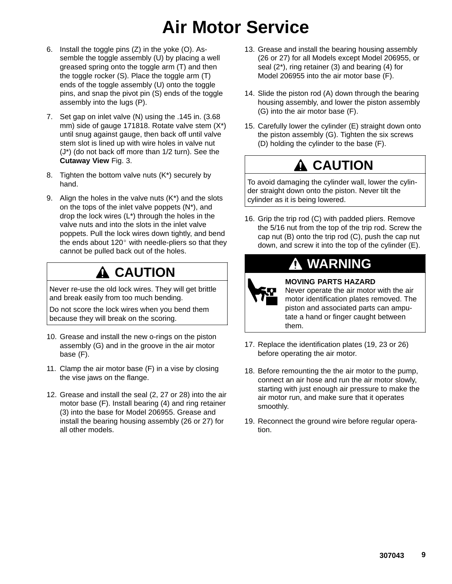- 6. Install the toggle pins (Z) in the yoke (O). Assemble the toggle assembly (U) by placing a well greased spring onto the toggle arm (T) and then the toggle rocker (S). Place the toggle arm (T) ends of the toggle assembly (U) onto the toggle pins, and snap the pivot pin (S) ends of the toggle assembly into the lugs (P).
- 7. Set gap on inlet valve (N) using the .145 in. (3.68 mm) side of gauge 171818. Rotate valve stem (X\*) until snug against gauge, then back off until valve stem slot is lined up with wire holes in valve nut (J\*) (do not back off more than 1/2 turn). See the **Cutaway View** Fig. 3.
- 8. Tighten the bottom valve nuts (K\*) securely by hand.
- 9. Align the holes in the valve nuts  $(K^*)$  and the slots on the tops of the inlet valve poppets (N\*), and drop the lock wires (L\*) through the holes in the valve nuts and into the slots in the inlet valve poppets. Pull the lock wires down tightly, and bend the ends about  $120^\circ$  with needle-pliers so that they cannot be pulled back out of the holes.

### **CAUTION**

Never re-use the old lock wires. They will get brittle and break easily from too much bending.

Do not score the lock wires when you bend them because they will break on the scoring.

- 10. Grease and install the new o-rings on the piston assembly (G) and in the groove in the air motor base (F).
- 11. Clamp the air motor base (F) in a vise by closing the vise jaws on the flange.
- 12. Grease and install the seal (2, 27 or 28) into the air motor base (F). Install bearing (4) and ring retainer (3) into the base for Model 206955. Grease and install the bearing housing assembly (26 or 27) for all other models.
- 13. Grease and install the bearing housing assembly (26 or 27) for all Models except Model 206955, or seal (2\*), ring retainer (3) and bearing (4) for Model 206955 into the air motor base (F).
- 14. Slide the piston rod (A) down through the bearing housing assembly, and lower the piston assembly (G) into the air motor base (F).
- 15. Carefully lower the cylinder (E) straight down onto the piston assembly (G). Tighten the six screws (D) holding the cylinder to the base (F).



To avoid damaging the cylinder wall, lower the cylinder straight down onto the piston. Never tilt the cylinder as it is being lowered.

16. Grip the trip rod (C) with padded pliers. Remove the 5/16 nut from the top of the trip rod. Screw the cap nut (B) onto the trip rod (C), push the cap nut down, and screw it into the top of the cylinder (E).

### **WARNING**



#### **MOVING PARTS HAZARD**

Never operate the air motor with the air motor identification plates removed. The piston and associated parts can amputate a hand or finger caught between them.

- 17. Replace the identification plates (19, 23 or 26) before operating the air motor.
- 18. Before remounting the the air motor to the pump, connect an air hose and run the air motor slowly, starting with just enough air pressure to make the air motor run, and make sure that it operates smoothly.
- 19. Reconnect the ground wire before regular operation.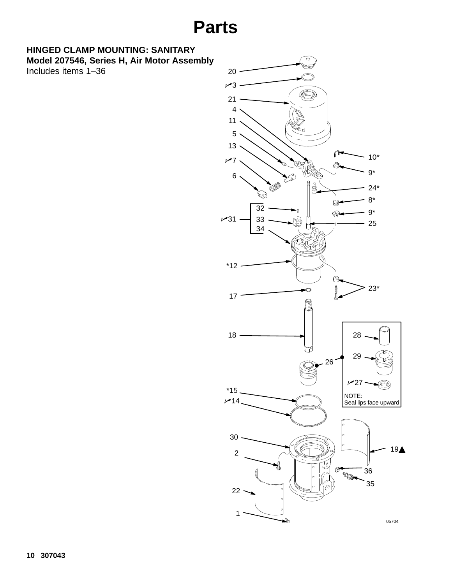### **HINGED CLAMP MOUNTING: SANITARY**

**Model 207546, Series H, Air Motor Assembly** Includes items 1–36

7  $20 1/3$ 21 4 11 5 13  $\mathbb{R}$  $-10*$  $7$ Q 9\* 6 (III)  $\beta$ 24\*  $\mathbb{Q}$ 8\*  $\circledS$  $\overline{32}$ 9\* ☺  $1/31$ 33 25 ∐ 34  $*12 -$ ഭ 23\* 17 B 18 28 ₩ 29 26  $1/27$  $*15.$ NOTE:  $14$ Seal lips face upward 30 19 2 @ 36 .<br>"Wa 35 22 1 05704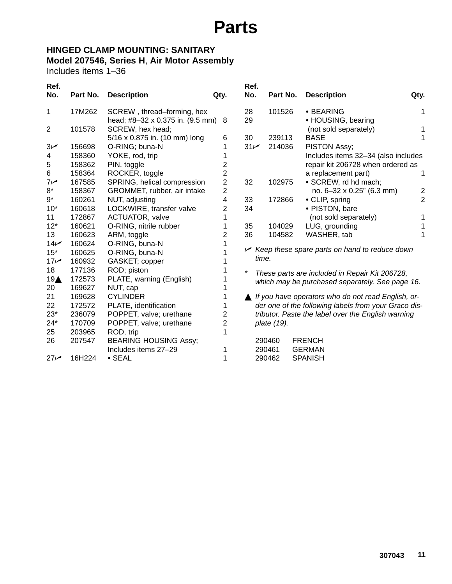### **HINGED CLAMP MOUNTING: SANITARY**

**Model 207546, Series H**, **Air Motor Assembly**

Includes items 1–36

| Ref.            |          |                                  |                | Ref.  |             |                                                      |                |
|-----------------|----------|----------------------------------|----------------|-------|-------------|------------------------------------------------------|----------------|
| No.             | Part No. | <b>Description</b>               | Qty.           | No.   | Part No.    | <b>Description</b>                                   | Qty.           |
| 1               | 17M262   | SCREW, thread-forming, hex       |                | 28    | 101526      | • BEARING                                            | 1              |
|                 |          | head; #8-32 x 0.375 in. (9.5 mm) | 8              | 29    |             | • HOUSING, bearing                                   |                |
| $\overline{2}$  | 101578   | SCREW, hex head;                 |                |       |             | (not sold separately)                                |                |
|                 |          | 5/16 x 0.875 in. (10 mm) long    | 6              | 30    | 239113      | <b>BASE</b>                                          |                |
| 3 <sub>k</sub>  | 156698   | O-RING; buna-N                   | 1              | 31/   | 214036      | PISTON Assy;                                         |                |
| 4               | 158360   | YOKE, rod, trip                  |                |       |             | Includes items 32-34 (also includes                  |                |
| 5               | 158362   | PIN, toggle                      | 2              |       |             | repair kit 206728 when ordered as                    |                |
| 6               | 158364   | ROCKER, toggle                   | $\overline{c}$ |       |             | a replacement part)                                  |                |
| 7 <sub>k</sub>  | 167585   | SPRING, helical compression      | $\overline{2}$ | 32    | 102975      | • SCREW, rd hd mach;                                 |                |
| $8*$            | 158367   | GROMMET, rubber, air intake      | $\overline{2}$ |       |             | no. 6-32 x 0.25" (6.3 mm)                            | $\overline{2}$ |
| 9*              | 160261   | NUT, adjusting                   | 4              | 33    | 172866      | • CLIP, spring                                       | $\overline{2}$ |
| $10*$           | 160618   | LOCKWIRE, transfer valve         | 2              | 34    |             | • PISTON, bare                                       |                |
| 11              | 172867   | <b>ACTUATOR, valve</b>           | 1              |       |             | (not sold separately)                                |                |
| $12*$           | 160621   | O-RING, nitrile rubber           | 1              | 35    | 104029      | LUG, grounding                                       |                |
| 13              | 160623   | ARM, toggle                      | 2              | 36    | 104582      | WASHER, tab                                          |                |
| 14 <sub>k</sub> | 160624   | O-RING, buna-N                   |                |       |             |                                                      |                |
| $15*$           | 160625   | O-RING, buna-N                   |                |       |             | Keep these spare parts on hand to reduce down        |                |
| 17 <sub>k</sub> | 160932   | GASKET; copper                   |                | time. |             |                                                      |                |
| 18              | 177136   | ROD; piston                      |                |       |             | These parts are included in Repair Kit 206728,       |                |
| 19 <sub>A</sub> | 172573   | PLATE, warning (English)         |                |       |             | which may be purchased separately. See page 16.      |                |
| 20              | 169627   | NUT, cap                         |                |       |             |                                                      |                |
| 21              | 169628   | <b>CYLINDER</b>                  |                |       |             | If you have operators who do not read English, or-   |                |
| 22              | 172572   | PLATE, identification            | 1              |       |             | der one of the following labels from your Graco dis- |                |
| $23*$           | 236079   | POPPET, valve; urethane          | 2              |       |             | tributor. Paste the label over the English warning   |                |
| $24*$           | 170709   | POPPET, valve; urethane          | $\overline{2}$ |       | plate (19). |                                                      |                |
| 25              | 203965   | ROD, trip                        | 1              |       |             |                                                      |                |
| 26              | 207547   | <b>BEARING HOUSING Assy:</b>     |                |       | 290460      | <b>FRENCH</b>                                        |                |
|                 |          | Includes items 27-29             | 1              |       | 290461      | <b>GERMAN</b>                                        |                |
| 27 <sub>k</sub> | 16H224   | $\cdot$ SEAL                     | 1              |       | 290462      | <b>SPANISH</b>                                       |                |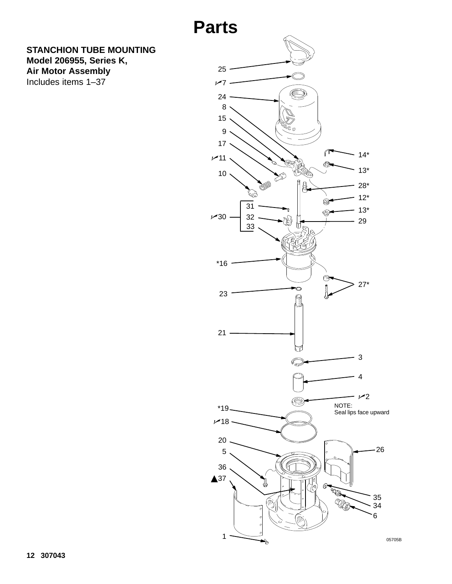#### **STANCHION TUBE MOUNTING Model 206955, Series K, Air Motor Assembly** Includes items 1–37

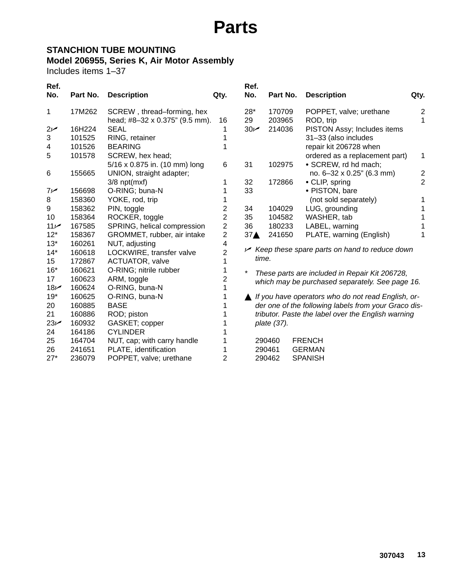### **STANCHION TUBE MOUNTING**

### **Model 206955, Series K, Air Motor Assembly**

Includes items 1–37

| Ref.<br>No.     | Part No. | <b>Description</b>             | Qty.           | Ref.<br>No.     | Part No.    | <b>Description</b>                                       | Qty.           |
|-----------------|----------|--------------------------------|----------------|-----------------|-------------|----------------------------------------------------------|----------------|
| 1               | 17M262   | SCREW, thread-forming, hex     |                | $28*$           | 170709      | POPPET, valve; urethane                                  | $\overline{2}$ |
|                 |          | head; #8-32 x 0.375" (9.5 mm). | 16             | 29              | 203965      | ROD, trip                                                | 1              |
| 2 <sub>k</sub>  | 16H224   | <b>SEAL</b>                    |                | 30 <sub>k</sub> | 214036      | PISTON Assy; Includes items                              |                |
| 3               | 101525   | RING, retainer                 |                |                 |             | 31-33 (also includes                                     |                |
| 4               | 101526   | <b>BEARING</b>                 |                |                 |             | repair kit 206728 when                                   |                |
| 5               | 101578   | SCREW, hex head;               |                |                 |             | ordered as a replacement part)                           | 1              |
|                 |          | 5/16 x 0.875 in. (10 mm) long  | 6              | 31              | 102975      | • SCREW, rd hd mach;                                     |                |
| 6               | 155665   | UNION, straight adapter;       |                |                 |             | no. 6-32 x 0.25" (6.3 mm)                                | $\overline{2}$ |
|                 |          | $3/8$ npt(mxf)                 | 1              | 32              | 172866      | • CLIP, spring                                           | $\overline{2}$ |
| 7 <sub>k</sub>  | 156698   | O-RING; buna-N                 |                | 33              |             | · PISTON, bare                                           |                |
| 8               | 158360   | YOKE, rod, trip                |                |                 |             | (not sold separately)                                    |                |
| 9               | 158362   | PIN, toggle                    | 2              | 34              | 104029      | LUG, grounding                                           |                |
| 10              | 158364   | ROCKER, toggle                 | $\overline{2}$ | 35              | 104582      | WASHER, tab                                              |                |
| 11 <sub>k</sub> | 167585   | SPRING, helical compression    | $\overline{2}$ | 36              | 180233      | LABEL, warning                                           |                |
| $12*$           | 158367   | GROMMET, rubber, air intake    | $\overline{2}$ | 37 <sub>A</sub> | 241650      | PLATE, warning (English)                                 |                |
| $13*$           | 160261   | NUT, adjusting                 | 4              |                 |             | $\swarrow$ Keep these spare parts on hand to reduce down |                |
| $14*$           | 160618   | LOCKWIRE, transfer valve       | $\overline{2}$ | time.           |             |                                                          |                |
| 15              | 172867   | <b>ACTUATOR, valve</b>         |                |                 |             |                                                          |                |
| $16*$           | 160621   | O-RING; nitrile rubber         | 1              | $\ast$          |             | These parts are included in Repair Kit 206728,           |                |
| 17              | 160623   | ARM, toggle                    | 2              |                 |             | which may be purchased separately. See page 16.          |                |
| 18 <sub>k</sub> | 160624   | O-RING, buna-N                 |                |                 |             |                                                          |                |
| $19*$           | 160625   | O-RING, buna-N                 |                |                 |             | If you have operators who do not read English, or-       |                |
| 20              | 160885   | <b>BASE</b>                    |                |                 |             | der one of the following labels from your Graco dis-     |                |
| 21              | 160886   | ROD; piston                    |                |                 |             | tributor. Paste the label over the English warning       |                |
| $23 -$          | 160932   | GASKET; copper                 |                |                 | plate (37). |                                                          |                |
| 24              | 164186   | <b>CYLINDER</b>                |                |                 |             |                                                          |                |
| 25              | 164704   | NUT, cap; with carry handle    |                |                 | 290460      | <b>FRENCH</b>                                            |                |
| 26              | 241651   | PLATE, identification          |                |                 | 290461      | <b>GERMAN</b>                                            |                |
| $27*$           | 236079   | POPPET, valve; urethane        | $\overline{2}$ |                 | 290462      | <b>SPANISH</b>                                           |                |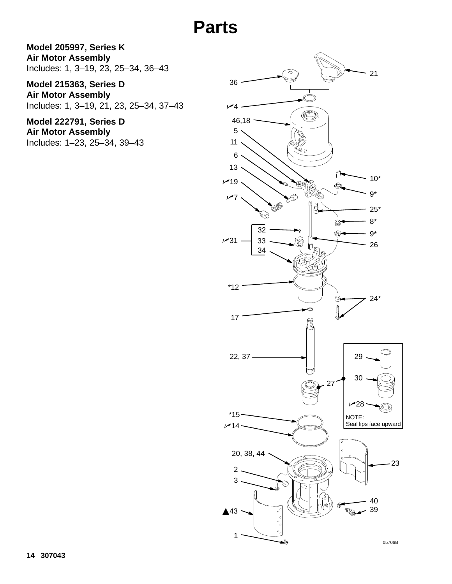**Model 205997, Series K Air Motor Assembly** Includes: 1, 3–19, 23, 25–34, 36–43

**Model 215363, Series D Air Motor Assembly** Includes: 1, 3–19, 21, 23, 25–34, 37–43

**Model 222791, Series D Air Motor Assembly** Includes: 1–23, 25–34, 39–43

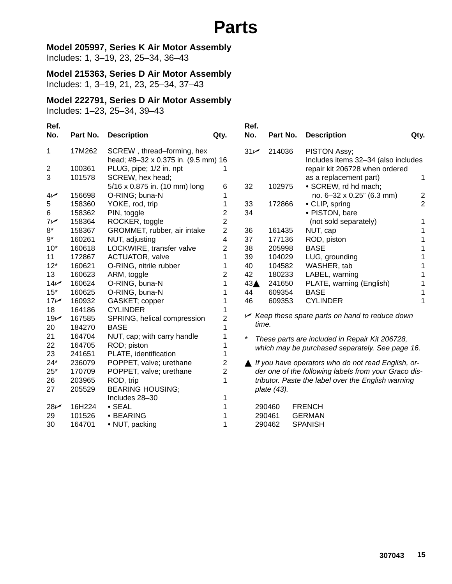**Ref.**

**Model 205997, Series K Air Motor Assembly**

Includes: 1, 3–19, 23, 25–34, 36–43

**Model 215363, Series D Air Motor Assembly**

Includes: 1, 3–19, 21, 23, 25–34, 37–43

### **Model 222791, Series D Air Motor Assembly**

Includes: 1–23, 25–34, 39–43

| Ref.<br>No.     |        | Part No. Description                                              | Qty.                    |
|-----------------|--------|-------------------------------------------------------------------|-------------------------|
| 1               | 17M262 | SCREW, thread-forming, hex<br>head; #8-32 x 0.375 in. (9.5 mm) 16 |                         |
| 2               | 100361 | PLUG, pipe; 1/2 in. npt                                           | 1                       |
| 3               | 101578 | SCREW, hex head;                                                  |                         |
|                 |        | 5/16 x 0.875 in. (10 mm) long                                     | 6                       |
| ممرا            | 156698 | O-RING; buna-N                                                    | 1                       |
| 5               | 158360 | YOKE, rod, trip                                                   | 1                       |
| 6               | 158362 | PIN, toggle                                                       | $\overline{\mathbf{c}}$ |
| سما7            | 158364 | ROCKER, toggle                                                    | $\overline{c}$          |
| $8*$            | 158367 | GROMMET, rubber, air intake                                       | $\overline{\mathbf{c}}$ |
| 9*              | 160261 | NUT, adjusting                                                    | 4                       |
| $10*$           | 160618 | LOCKWIRE, transfer valve                                          | $\overline{\mathbf{c}}$ |
| 11              | 172867 | <b>ACTUATOR, valve</b>                                            | $\overline{1}$          |
| $12*$           | 160621 | O-RING, nitrile rubber                                            | $\overline{1}$          |
| 13              | 160623 | ARM, toggle                                                       | $\overline{c}$          |
| 14 <sub>k</sub> | 160624 | O-RING, buna-N                                                    | $\overline{1}$          |
| $15*$           | 160625 | O-RING, buna-N                                                    | 1                       |
| 17 <sub>k</sub> | 160932 | GASKET; copper                                                    | 1                       |
| 18              | 164186 | <b>CYLINDER</b>                                                   | 1                       |
| 19 <sub>1</sub> | 167585 | SPRING, helical compression                                       | $\overline{c}$          |
| 20              | 184270 | <b>BASE</b>                                                       | 1                       |
| 21              | 164704 | NUT, cap; with carry handle                                       | 1                       |
| 22              | 164705 | ROD; piston                                                       | 1                       |
| 23              | 241651 | PLATE, identification                                             | 1                       |
| $24*$           | 236079 | POPPET, valve; urethane                                           | $\overline{\mathbf{c}}$ |
| $25*$           | 170709 | POPPET, valve; urethane                                           | $\overline{2}$          |
| 26              | 203965 | ROD, trip                                                         | 1                       |
| 27              | 205529 | <b>BEARING HOUSING:</b>                                           |                         |
|                 |        | Includes 28-30                                                    | 1                       |
| 28 <sub>1</sub> | 16H224 | $\bullet$ SEAL                                                    | 1                       |
| 29              | 101526 | $\bullet$ BEARING                                                 | 1                       |
| 30              | 164701 | • NUT, packing                                                    | 1                       |

| No.                      | Part No. | <b>Description</b>                                  | Qty. |
|--------------------------|----------|-----------------------------------------------------|------|
| 31 $\blacktriangleright$ | 214036   | PISTON Assy;<br>Includes items 32-34 (also includes |      |
|                          |          | repair kit 206728 when ordered                      |      |
|                          |          | as a replacement part)                              | 1    |
| 32                       | 102975   | • SCREW, rd hd mach;                                |      |
|                          |          | no. 6-32 x 0.25" (6.3 mm)                           | 2    |
| 33                       | 172866   | • CLIP, spring                                      | 2    |
| 34                       |          | · PISTON, bare                                      |      |
|                          |          | (not sold separately)                               | 1    |
| 36                       | 161435   | NUT, cap                                            | 1    |
| 37                       | 177136   | ROD, piston                                         | 1    |
| 38                       | 205998   | BASE                                                | 1    |
| 39                       | 104029   | LUG, grounding                                      | 1    |
| 40                       | 104582   | WASHER, tab                                         | 1    |
| 42                       | 180233   | LABEL, warning                                      | 1    |
| $43\blacktriangle$       | 241650   | PLATE, warning (English)                            | 1    |
| 44                       | 609354   | <b>BASE</b>                                         | 1    |
| 46                       | 609353   | <b>CYLINDER</b>                                     | 1    |

 *Keep these spare parts on hand to reduce down time.*

*\* These parts are included in Repair Kit 206728, which may be purchased separately. See page 16.*

 *If you have operators who do not read English, order one of the following labels from your Graco distributor. Paste the label over the English warning plate (43).*

| 290460 | FRENCH         |
|--------|----------------|
| 290461 | GERMAN         |
| 290462 | <b>SPANISH</b> |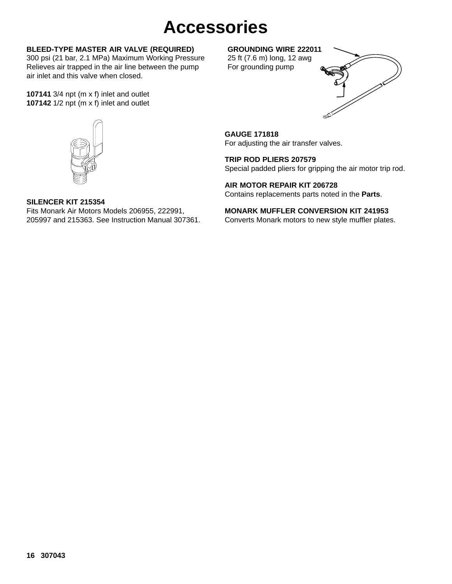## **Accessories**

#### **BLEED-TYPE MASTER AIR VALVE (REQUIRED)**

300 psi (21 bar, 2.1 MPa) Maximum Working Pressure Relieves air trapped in the air line between the pump air inlet and this valve when closed.

**107141** 3/4 npt (m x f) inlet and outlet **107142** 1/2 npt (m x f) inlet and outlet

#### **GROUNDING WIRE 222011**

25 ft (7.6 m) long, 12 awg For grounding pump



**GAUGE 171818** For adjusting the air transfer valves.

**TRIP ROD PLIERS 207579** Special padded pliers for gripping the air motor trip rod.

**AIR MOTOR REPAIR KIT 206728** Contains replacements parts noted in the **Parts**.

**MONARK MUFFLER CONVERSION KIT 241953** Converts Monark motors to new style muffler plates.



#### **SILENCER KIT 215354**

Fits Monark Air Motors Models 206955, 222991, 205997 and 215363. See Instruction Manual 307361.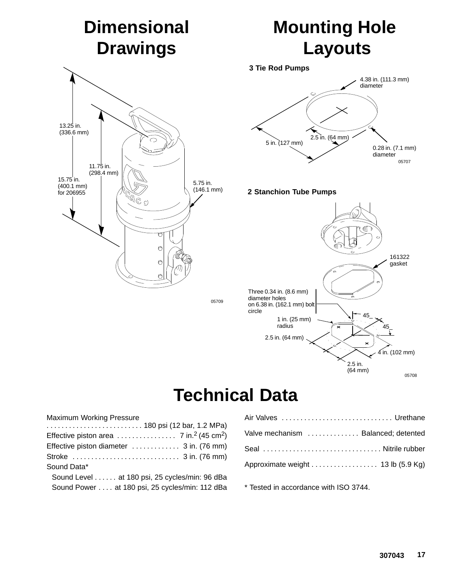## **Dimensional Drawings**



## **Mounting Hole Layouts**

### **3 Tie Rod Pumps** 05707 5 in. (127 mm) 2.5 in. (64 mm) 0.28 in. (7.1 mm) diameter 4.38 in. (111.3 mm) diameter

**2 Stanchion Tube Pumps**



### **Technical Data**

05709

| <b>Maximum Working Pressure</b><br>180 psi (12 bar, 1.2 MPa) |
|--------------------------------------------------------------|
|                                                              |
| Effective piston diameter  3 in. (76 mm)                     |
|                                                              |
| Sound Data*                                                  |
| Sound Level at 180 psi, 25 cycles/min: 96 dBa                |
| Sound Power at 180 psi, 25 cycles/min: 112 dBa               |
|                                                              |

| Air Valves  Urethane                |  |
|-------------------------------------|--|
| Valve mechanism  Balanced; detented |  |
|                                     |  |
|                                     |  |

\* Tested in accordance with ISO 3744.